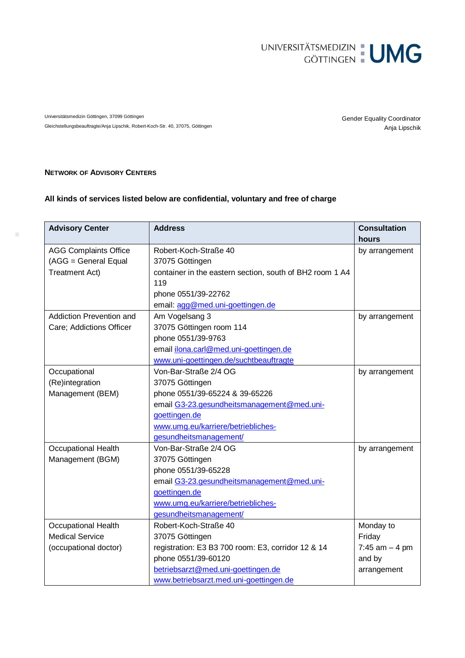

Universitätsmedizin Göttingen, 37099 Göttingen Genter General Gender Equality Coordinator Anja Lipschik Gleichstellungsbeauftragte/Anja Lipschik, Robert-Koch-Str. 40, 37075, Göttingen

## **NETWORK OF ADVISORY CENTERS**

 $\bar{\phantom{a}}$ 

## **All kinds of services listed below are confidential, voluntary and free of charge**

| <b>Advisory Center</b>       | <b>Address</b>                                           | <b>Consultation</b> |
|------------------------------|----------------------------------------------------------|---------------------|
|                              |                                                          | hours               |
| <b>AGG Complaints Office</b> | Robert-Koch-Straße 40                                    | by arrangement      |
| (AGG = General Equal         | 37075 Göttingen                                          |                     |
| <b>Treatment Act)</b>        | container in the eastern section, south of BH2 room 1 A4 |                     |
|                              | 119                                                      |                     |
|                              | phone 0551/39-22762                                      |                     |
|                              | email: agg@med.uni-goettingen.de                         |                     |
| Addiction Prevention and     | Am Vogelsang 3                                           | by arrangement      |
| Care; Addictions Officer     | 37075 Göttingen room 114                                 |                     |
|                              | phone 0551/39-9763                                       |                     |
|                              | email ilona.carl@med.uni-goettingen.de                   |                     |
|                              | www.uni-goettingen.de/suchtbeauftragte                   |                     |
| Occupational                 | Von-Bar-Straße 2/4 OG                                    | by arrangement      |
| (Re)integration              | 37075 Göttingen                                          |                     |
| Management (BEM)             | phone 0551/39-65224 & 39-65226                           |                     |
|                              | email G3-23.gesundheitsmanagement@med.uni-               |                     |
|                              | goettingen.de                                            |                     |
|                              | www.umg.eu/karriere/betriebliches-                       |                     |
|                              | gesundheitsmanagement/                                   |                     |
| <b>Occupational Health</b>   | Von-Bar-Straße 2/4 OG                                    | by arrangement      |
| Management (BGM)             | 37075 Göttingen                                          |                     |
|                              | phone 0551/39-65228                                      |                     |
|                              | email G3-23.gesundheitsmanagement@med.uni-               |                     |
|                              | goettingen.de                                            |                     |
|                              | www.umg.eu/karriere/betriebliches-                       |                     |
|                              | gesundheitsmanagement/                                   |                     |
| Occupational Health          | Robert-Koch-Straße 40                                    | Monday to           |
| <b>Medical Service</b>       | 37075 Göttingen                                          | Friday              |
| (occupational doctor)        | registration: E3 B3 700 room: E3, corridor 12 & 14       | 7:45 $am - 4 pm$    |
|                              | phone 0551/39-60120                                      | and by              |
|                              | betriebsarzt@med.uni-goettingen.de                       | arrangement         |
|                              | www.betriebsarzt.med.uni-goettingen.de                   |                     |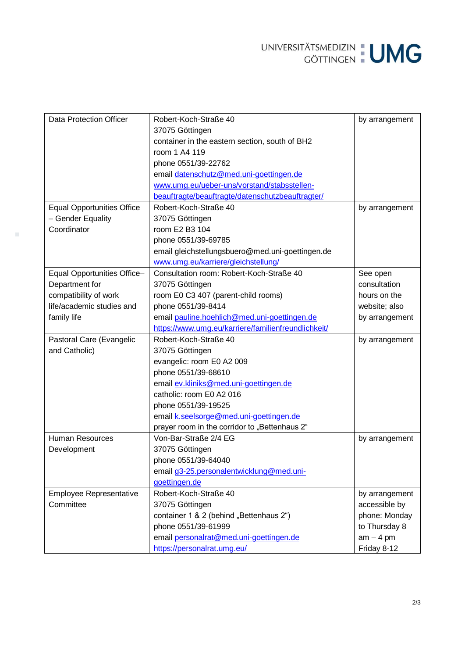UNIVERSITÄTSMEDIZIN : UMG

| Data Protection Officer           | Robert-Koch-Straße 40                               | by arrangement |
|-----------------------------------|-----------------------------------------------------|----------------|
|                                   | 37075 Göttingen                                     |                |
|                                   | container in the eastern section, south of BH2      |                |
|                                   | room 1 A4 119                                       |                |
|                                   | phone 0551/39-22762                                 |                |
|                                   | email datenschutz@med.uni-goettingen.de             |                |
|                                   | www.umg.eu/ueber-uns/vorstand/stabsstellen-         |                |
|                                   | beauftragte/beauftragte/datenschutzbeauftragter/    |                |
| <b>Equal Opportunities Office</b> | Robert-Koch-Straße 40                               | by arrangement |
| - Gender Equality                 | 37075 Göttingen                                     |                |
| Coordinator                       | room E2 B3 104                                      |                |
|                                   | phone 0551/39-69785                                 |                |
|                                   | email gleichstellungsbuero@med.uni-goettingen.de    |                |
|                                   | www.umg.eu/karriere/gleichstellung/                 |                |
| Equal Opportunities Office-       | Consultation room: Robert-Koch-Straße 40            | See open       |
| Department for                    | 37075 Göttingen                                     | consultation   |
| compatibility of work             | room E0 C3 407 (parent-child rooms)                 | hours on the   |
| life/academic studies and         | phone 0551/39-8414                                  | website; also  |
| family life                       | email pauline.hoehlich@med.uni-goettingen.de        | by arrangement |
|                                   | https://www.umg.eu/karriere/familienfreundlichkeit/ |                |
| Pastoral Care (Evangelic          | Robert-Koch-Straße 40                               | by arrangement |
| and Catholic)                     | 37075 Göttingen                                     |                |
|                                   | evangelic: room E0 A2 009                           |                |
|                                   | phone 0551/39-68610                                 |                |
|                                   | email ev.kliniks@med.uni-goettingen.de              |                |
|                                   | catholic: room E0 A2 016                            |                |
|                                   | phone 0551/39-19525                                 |                |
|                                   | email k.seelsorge@med.uni-goettingen.de             |                |
|                                   | prayer room in the corridor to "Bettenhaus 2"       |                |
| <b>Human Resources</b>            | Von-Bar-Straße 2/4 EG                               | by arrangement |
| Development                       | 37075 Göttingen                                     |                |
|                                   | phone 0551/39-64040                                 |                |
|                                   | email g3-25.personalentwicklung@med.uni-            |                |
|                                   | goettingen.de                                       |                |
| Employee Representative           | Robert-Koch-Straße 40                               | by arrangement |
| Committee                         | 37075 Göttingen                                     | accessible by  |
|                                   | container 1 & 2 (behind "Bettenhaus 2")             | phone: Monday  |
|                                   | phone 0551/39-61999                                 | to Thursday 8  |
|                                   | email personalrat@med.uni-goettingen.de             | $am - 4 pm$    |
|                                   | https://personalrat.umg.eu/                         | Friday 8-12    |

 $\sim$